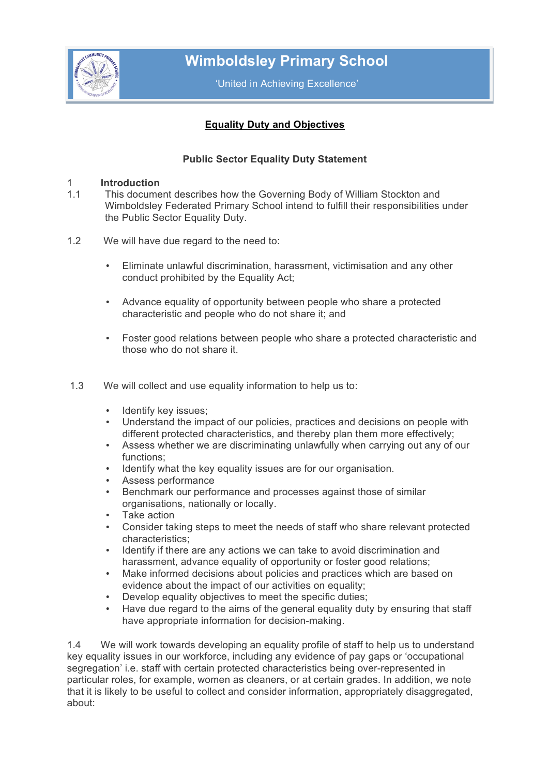

 **Wimboldsley Primary School**

'United in Achieving Excellence'

# **Equality Duty and Objectives**

# **Public Sector Equality Duty Statement**

#### 1 **Introduction**

- 1.1 This document describes how the Governing Body of William Stockton and Wimboldsley Federated Primary School intend to fulfill their responsibilities under the Public Sector Equality Duty.
- 1.2 We will have due regard to the need to:
	- Eliminate unlawful discrimination, harassment, victimisation and any other conduct prohibited by the Equality Act;
	- Advance equality of opportunity between people who share a protected characteristic and people who do not share it; and
	- Foster good relations between people who share a protected characteristic and those who do not share it.
- 1.3 We will collect and use equality information to help us to:
	- Identify key issues;
	- Understand the impact of our policies, practices and decisions on people with different protected characteristics, and thereby plan them more effectively;
	- Assess whether we are discriminating unlawfully when carrying out any of our functions;
	- Identify what the key equality issues are for our organisation.
	- Assess performance
	- Benchmark our performance and processes against those of similar organisations, nationally or locally.
	- Take action
	- Consider taking steps to meet the needs of staff who share relevant protected characteristics;
	- Identify if there are any actions we can take to avoid discrimination and harassment, advance equality of opportunity or foster good relations;
	- Make informed decisions about policies and practices which are based on evidence about the impact of our activities on equality;
	- Develop equality objectives to meet the specific duties;
	- Have due regard to the aims of the general equality duty by ensuring that staff have appropriate information for decision-making.

1.4 We will work towards developing an equality profile of staff to help us to understand key equality issues in our workforce, including any evidence of pay gaps or 'occupational segregation' i.e. staff with certain protected characteristics being over-represented in particular roles, for example, women as cleaners, or at certain grades. In addition, we note that it is likely to be useful to collect and consider information, appropriately disaggregated, about: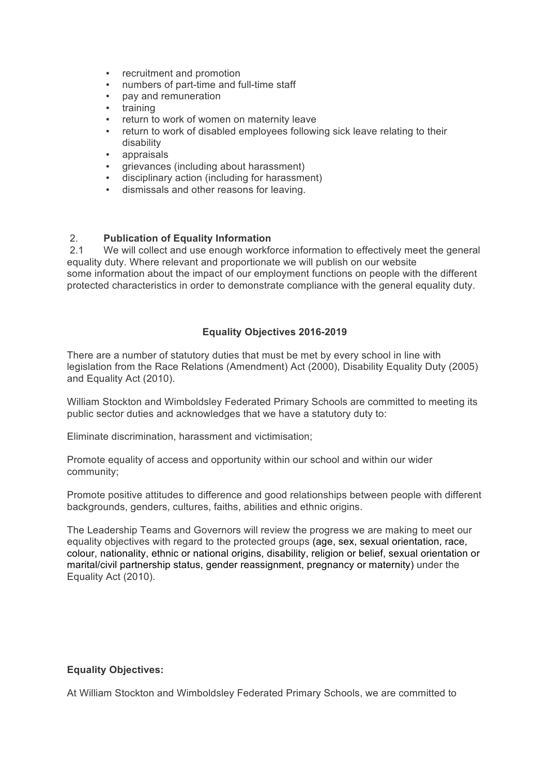- recruitment and promotion
- numbers of part-time and full-time staff
- pay and remuneration
- training
- return to work of women on maternity leave
- return to work of disabled employees following sick leave relating to their disability
- appraisals
- grievances (including about harassment)
- disciplinary action (including for harassment)
- dismissals and other reasons for leaving.

## 2. **Publication of Equality Information**

2.1 We will collect and use enough workforce information to effectively meet the general equality duty. Where relevant and proportionate we will publish on our website some information about the impact of our employment functions on people with the different protected characteristics in order to demonstrate compliance with the general equality duty.

#### **Equality Objectives 2016-2019**

There are a number of statutory duties that must be met by every school in line with legislation from the Race Relations (Amendment) Act (2000), Disability Equality Duty (2005) and Equality Act (2010).

William Stockton and Wimboldsley Federated Primary Schools are committed to meeting its public sector duties and acknowledges that we have a statutory duty to:

Eliminate discrimination, harassment and victimisation;

Promote equality of access and opportunity within our school and within our wider community;

Promote positive attitudes to difference and good relationships between people with different backgrounds, genders, cultures, faiths, abilities and ethnic origins.

The Leadership Teams and Governors will review the progress we are making to meet our equality objectives with regard to the protected groups (age, sex, sexual orientation, race, colour, nationality, ethnic or national origins, disability, religion or belief, sexual orientation or marital/civil partnership status, gender reassignment, pregnancy or maternity) under the Equality Act (2010).

## **Equality Objectives:**

At William Stockton and Wimboldsley Federated Primary Schools, we are committed to